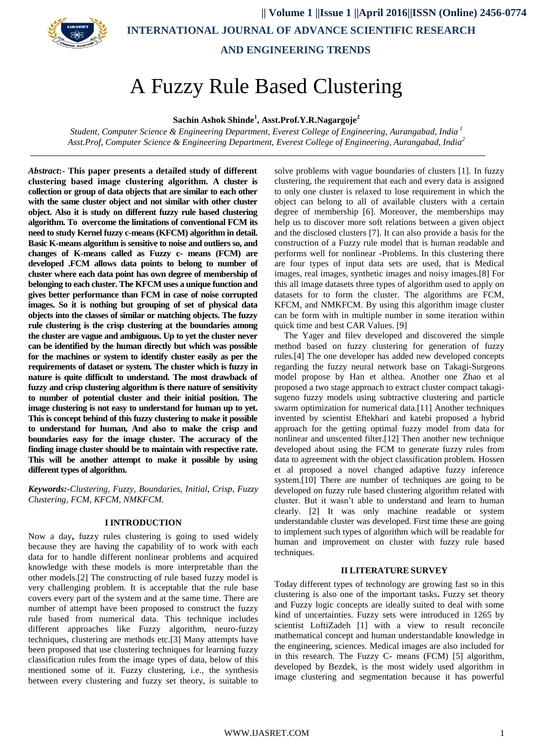

# A Fuzzy Rule Based Clustering

**Sachin Ashok Shinde<sup>1</sup> , Asst.Prof.Y.R.Nagargoje<sup>2</sup>**

*Student, Computer Science & Engineering Department, Everest College of Engineering, Aurangabad, India <sup>1</sup> Asst.Prof, Computer Science & Engineering Department, Everest College of Engineering, Aurangabad, India<sup>2</sup>*

*Abstract***:- This paper presents a detailed study of different clustering based image clustering algorithm. A cluster is collection or group of data objects that are similar to each other with the same cluster object and not similar with other cluster object. Also it is study on different fuzzy rule based clustering algorithm. To overcome the limitations of conventional FCM its need to study Kernel fuzzy c-means (KFCM) algorithm in detail. Basic K-means algorithm is sensitive to noise and outliers so, and changes of K-means called as Fuzzy c- means (FCM) are developed .FCM allows data points to belong to number of cluster where each data point has own degree of membership of belonging to each cluster. The KFCM uses a unique function and gives better performance than FCM in case of noise corrupted images. So it is nothing but grouping of set of physical data objects into the classes of similar or matching objects. The fuzzy rule clustering is the crisp clustering at the boundaries among the cluster are vague and ambiguous. Up to yet the cluster never can be identified by the human directly but which was possible for the machines or system to identify cluster easily as per the requirements of dataset or system. The cluster which is fuzzy in nature is quite difficult to understand. The most drawback of fuzzy and crisp clustering algorithm is there nature of sensitivity to number of potential cluster and their initial position. The image clustering is not easy to understand for human up to yet. This is concept behind of this fuzzy clustering to make it possible to understand for human, And also to make the crisp and boundaries easy for the image cluster. The accuracy of the finding image cluster should be to maintain with respective rate. This will be another attempt to make it possible by using different types of algorithm.**

*Keywords:-Clustering, Fuzzy, Boundaries, Initial, Crisp, Fuzzy Clustering, FCM, KFCM, NMKFCM.*

# **I INTRODUCTION**

Now a day**,** fuzzy rules clustering is going to used widely because they are having the capability of to work with each data for to handle different nonlinear problems and acquired knowledge with these models is more interpretable than the other models.[2] The constructing of rule based fuzzy model is very challenging problem. It is acceptable that the rule base covers every part of the system and at the same time. There are number of attempt have been proposed to construct the fuzzy rule based from numerical data. This technique includes different approaches like Fuzzy algorithm, neuro-fuzzy techniques, clustering are methods etc.[3] Many attempts have been proposed that use clustering techniques for learning fuzzy classification rules from the image types of data, below of this mentioned some of it. Fuzzy clustering, i.e., the synthesis between every clustering and fuzzy set theory, is suitable to

solve problems with vague boundaries of clusters [1]. In fuzzy clustering, the requirement that each and every data is assigned to only one cluster is relaxed to lose requirement in which the object can belong to all of available clusters with a certain degree of membership [6]. Moreover, the memberships may help us to discover more soft relations between a given object and the disclosed clusters [7]. It can also provide a basis for the construction of a Fuzzy rule model that is human readable and performs well for nonlinear -Problems. In this clustering there are four types of input data sets are used, that is Medical images, real images, synthetic images and noisy images.[8] For this all image datasets three types of algorithm used to apply on datasets for to form the cluster. The algorithms are FCM, KFCM, and NMKFCM. By using this algorithm image cluster can be form with in multiple number in some iteration within quick time and best CAR Values. [9]

The Yager and filev developed and discovered the simple method based on fuzzy clustering for generation of fuzzy rules.[4] The one developer has added new developed concepts regarding the fuzzy neural network base on Takagi-Surgeons model propose by Han et althea. Another one Zhao et al proposed a two stage approach to extract cluster compact takagisugeno fuzzy models using subtractive clustering and particle swarm optimization for numerical data.[11] Another techniques invented by scientist Eftekhari and katebi proposed a hybrid approach for the getting optimal fuzzy model from data for nonlinear and unscented filter.[12] Then another new technique developed about using the FCM to generate fuzzy rules from data to agreement with the object classification problem. Hossen et al proposed a novel changed adaptive fuzzy inference system.[10] There are number of techniques are going to be developed on fuzzy rule based clustering algorithm related with cluster. But it wasn"t able to understand and learn to human clearly. [2] It was only machine readable or system understandable cluster was developed. First time these are going to implement such types of algorithm which will be readable for human and improvement on cluster with fuzzy rule based techniques.

#### **II LITERATURE SURVEY**

Today different types of technology are growing fast so in this clustering is also one of the important tasks**.** Fuzzy set theory and Fuzzy logic concepts are ideally suited to deal with some kind of uncertainties. Fuzzy sets were introduced in 1265 by scientist LoftiZadeh [1] with a view to result reconcile mathematical concept and human understandable knowledge in the engineering, sciences. Medical images are also included for in this research. The Fuzzy C- means (FCM) [5] algorithm, developed by Bezdek, is the most widely used algorithm in image clustering and segmentation because it has powerful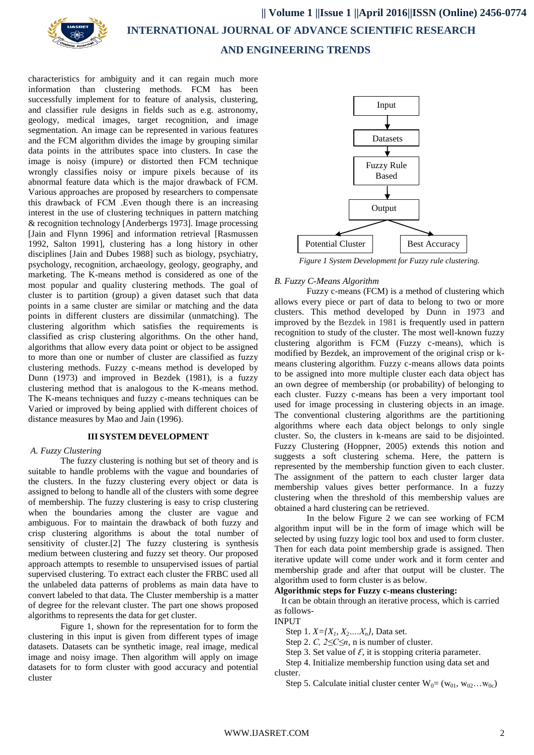

characteristics for ambiguity and it can regain much more information than clustering methods. FCM has been successfully implement for to feature of analysis, clustering, and classifier rule designs in fields such as e.g. astronomy, geology, medical images, target recognition, and image segmentation. An image can be represented in various features and the FCM algorithm divides the image by grouping similar data points in the attributes space into clusters. In case the image is noisy (impure) or distorted then FCM technique wrongly classifies noisy or impure pixels because of its abnormal feature data which is the major drawback of FCM. Various approaches are proposed by researchers to compensate this drawback of FCM .Even though there is an increasing interest in the use of clustering techniques in pattern matching & recognition technology [Anderbergs 1973]. Image processing [Jain and Flynn 1996] and information retrieval [Rasmussen 1992, Salton 1991], clustering has a long history in other disciplines [Jain and Dubes 1988] such as biology, psychiatry, psychology, recognition, archaeology, geology, geography, and marketing. The K-means method is considered as one of the most popular and quality clustering methods. The goal of cluster is to partition (group) a given dataset such that data points in a same cluster are similar or matching and the data points in different clusters are dissimilar (unmatching). The clustering algorithm which satisfies the requirements is classified as crisp clustering algorithms. On the other hand, algorithms that allow every data point or object to be assigned to more than one or number of cluster are classified as fuzzy clustering methods. Fuzzy c-means method is developed by Dunn (1973) and improved in Bezdek (1981), is a fuzzy clustering method that is analogous to the K-means method. The K-means techniques and fuzzy c-means techniques can be Varied or improved by being applied with different choices of distance measures by Mao and Jain (1996).

# **III SYSTEM DEVELOPMENT**

## *A. Fuzzy Clustering*

The fuzzy clustering is nothing but set of theory and is suitable to handle problems with the vague and boundaries of the clusters. In the fuzzy clustering every object or data is assigned to belong to handle all of the clusters with some degree of membership. The fuzzy clustering is easy to crisp clustering when the boundaries among the cluster are vague and ambiguous. For to maintain the drawback of both fuzzy and crisp clustering algorithms is about the total number of sensitivity of cluster.[2] The fuzzy clustering is synthesis medium between clustering and fuzzy set theory. Our proposed approach attempts to resemble to unsupervised issues of partial supervised clustering. To extract each cluster the FRBC used all the unlabeled data patterns of problems as main data have to convert labeled to that data. The Cluster membership is a matter of degree for the relevant cluster. The part one shows proposed algorithms to represents the data for get cluster.

Figure 1, shown for the representation for to form the clustering in this input is given from different types of image datasets. Datasets can be synthetic image, real image, medical image and noisy image. Then algorithm will apply on image datasets for to form cluster with good accuracy and potential cluster



*Figure 1 System Development for Fuzzy rule clustering.*

## *B. Fuzzy C-Means Algorithm*

Fuzzy c-means (FCM) is a method of clustering which allows every piece or part of data to belong to two or more clusters. This method developed by [Dunn in 1973](http://home.dei.polimi.it/matteucc/Clustering/tutorial_html/cmeans.html) and improved by the [Bezdek](http://home.dei.polimi.it/matteucc/Clustering/tutorial_html/cmeans.html) [in 1981](http://home.dei.polimi.it/matteucc/Clustering/tutorial_html/cmeans.html) is frequently used in pattern recognition to study of the cluster. The most well-known fuzzy clustering algorithm is FCM (Fuzzy c-means), which is modified by Bezdek, an improvement of the original crisp or kmeans clustering algorithm. Fuzzy c-means allows data points to be assigned into more multiple cluster each data object has an own degree of membership (or probability) of belonging to each cluster. Fuzzy c-means has been a very important tool used for image processing in clustering objects in an image. The conventional clustering algorithms are the partitioning algorithms where each data object belongs to only single cluster. So, the clusters in k-means are said to be disjointed. Fuzzy Clustering (Hoppner, 2005) extends this notion and suggests a soft clustering schema. Here, the pattern is represented by the membership function given to each cluster. The assignment of the pattern to each cluster larger data membership values gives better performance. In a fuzzy clustering when the threshold of this membership values are obtained a hard clustering can be retrieved.

In the below Figure 2 we can see working of FCM algorithm input will be in the form of image which will be selected by using fuzzy logic tool box and used to form cluster. Then for each data point membership grade is assigned. Then iterative update will come under work and it form center and membership grade and after that output will be cluster. The algorithm used to form cluster is as below.

# **Algorithmic steps for Fuzzy c-means clustering:**

It can be obtain through an iterative process, which is carried as follows-

#### INPUT

Step 1.  $X = \{X_1, X_2, \ldots, X_n\}$ , Data set.

- Step 2. *C, 2≤C≤n*, n is number of cluster.
- Step 3. Set value of  $\mathcal{E}$ , it is stopping criteria parameter.

 Step 4. Initialize membership function using data set and cluster.

Step 5. Calculate initial cluster center  $W_0 = (w_{01}, w_{02} \dots w_{0c})$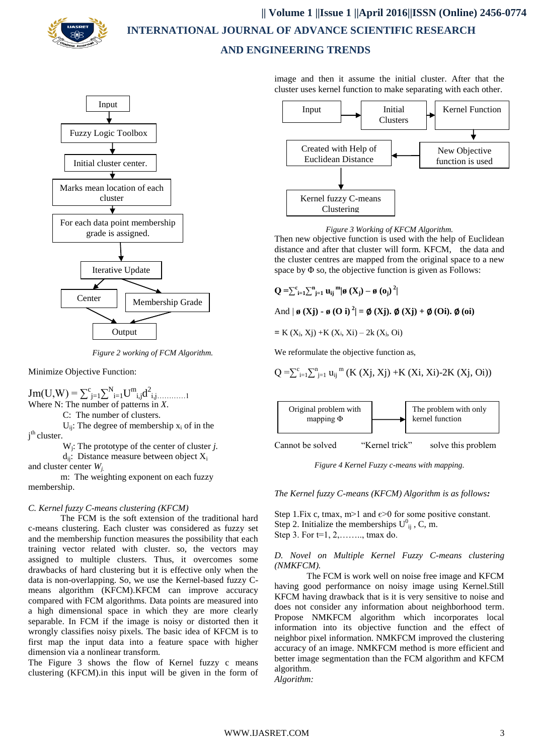



*Figure 2 working of FCM Algorithm.*

Minimize Objective Function:

 $\text{Jm}(U,W) = \sum_{j=1}^{c} \sum_{i=1}^{N} U_{i,j}^{m} d_{i,j}^{2}$ Where N: The number of patterns in *X*.

C: The number of clusters.

 $U_{ii}$ : The degree of membership  $x_i$  of in the j<sup>th</sup> cluster.

W<sup>j</sup> : The prototype of the center of cluster *j.*

 $d_{ii}$ : Distance measure between object  $X_i$ and cluster center *Wj.*

m: The weighting exponent on each fuzzy membership.

# *C. Kernel fuzzy C-means clustering (KFCM)*

The FCM is the soft extension of the traditional hard c-means clustering. Each cluster was considered as fuzzy set and the membership function measures the possibility that each training vector related with cluster. so, the vectors may assigned to multiple clusters. Thus, it overcomes some drawbacks of hard clustering but it is effective only when the data is non-overlapping. So, we use the Kernel-based fuzzy Cmeans algorithm (KFCM).KFCM can improve accuracy compared with FCM algorithms. Data points are measured into a high dimensional space in which they are more clearly separable. In FCM if the image is noisy or distorted then it wrongly classifies noisy pixels. The basic idea of KFCM is to first map the input data into a feature space with higher dimension via a nonlinear transform.

The Figure 3 shows the flow of Kernel fuzzy c means clustering (KFCM).in this input will be given in the form of

image and then it assume the initial cluster. After that the cluster uses kernel function to make separating with each other.





Then new objective function is used with the help of Euclidean distance and after that cluster will form. KFCM, the data and the cluster centres are mapped from the original space to a new space by  $\Phi$  so, the objective function is given as Follows:

**Q** =  $\sum_{i=1}^{c} \sum_{j=1}^{n} \mathbf{u}_{ij}^{m} | \emptyset (\mathbf{X}_{j}) - \emptyset (\mathbf{o}_{j})^{2} |$ 

And  $|\boldsymbol{\varnothing}(\mathbf{Xj}) - \boldsymbol{\varnothing}(\mathbf{Oi})^2| = \boldsymbol{\varnothing}(\mathbf{Xj}). \boldsymbol{\varnothing}(\mathbf{Xj}) + \boldsymbol{\varnothing}(\mathbf{Oi}). \boldsymbol{\varnothing}(\mathbf{oi})$ 

**=** K (Xj, Xj) +K (Xi, Xi) – 2k (Xj, Oi)

We reformulate the objective function as,

$$
Q = \sum_{i=1}^{c} \sum_{j=1}^{n} u_{ij}^{m} (K(Xj, Xj) + K(Xi, Xi) - 2K(Xj, Oi))
$$



*Figure 4 Kernel Fuzzy c-means with mapping.*

*The Kernel fuzzy C-means (KFCM) Algorithm is as follows:*

Step 1.Fix c, tmax,  $m>1$  and  $\varepsilon>0$  for some positive constant. Step 2. Initialize the memberships  $U_{ij}^0$ , C, m. Step 3. For t=1, 2,…….., tmax do.

# *D. Novel on Multiple Kernel Fuzzy C-means clustering (NMKFCM).*

The FCM is work well on noise free image and KFCM having good performance on noisy image using Kernel.Still KFCM having drawback that is it is very sensitive to noise and does not consider any information about neighborhood term. Propose NMKFCM algorithm which incorporates local information into its objective function and the effect of neighbor pixel information. NMKFCM improved the clustering accuracy of an image. NMKFCM method is more efficient and better image segmentation than the FCM algorithm and KFCM algorithm.

*Algorithm:*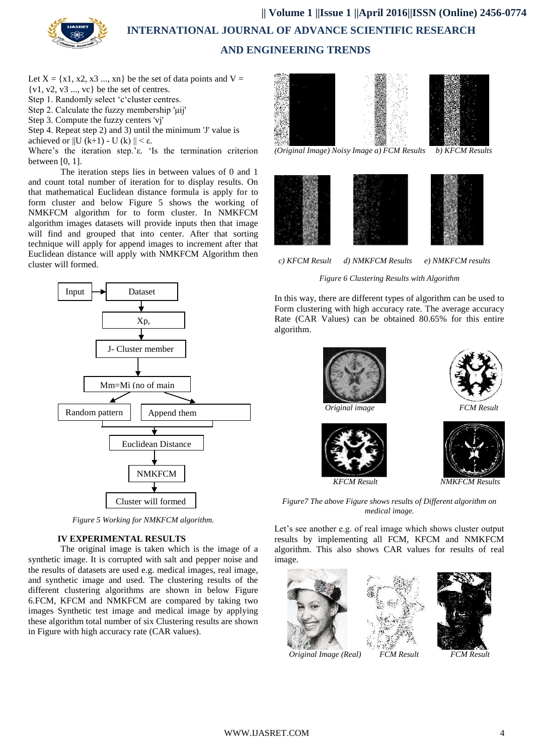

Let  $X = \{x1, x2, x3 \dots, xn\}$  be the set of data points and  $V =$  $\{v1, v2, v3 \ldots, vc\}$  be the set of centres.

- Step 1. Randomly select 'c'cluster centres.
- Step 2. Calculate the fuzzy membership 'μij'
- Step 3. Compute the fuzzy centers 'vj'
- Step 4. Repeat step 2) and 3) until the minimum 'J' value is
- achieved or  $||U (k+1) U (k)|| < \varepsilon$ .

Where"s the iteration step."ε. "Is the termination criterion between [0, 1].

The iteration steps lies in between values of 0 and 1 and count total number of iteration for to display results. On that mathematical Euclidean distance formula is apply for to form cluster and below Figure 5 shows the working of NMKFCM algorithm for to form cluster. In NMKFCM algorithm images datasets will provide inputs then that image will find and grouped that into center. After that sorting technique will apply for append images to increment after that Euclidean distance will apply with NMKFCM Algorithm then cluster will formed.



*Figure 5 Working for NMKFCM algorithm.*

# **IV EXPERIMENTAL RESULTS**

The original image is taken which is the image of a synthetic image. It is corrupted with salt and pepper noise and the results of datasets are used e.g. medical images, real image, and synthetic image and used. The clustering results of the different clustering algorithms are shown in below Figure 6.FCM, KFCM and NMKFCM are compared by taking two images Synthetic test image and medical image by applying these algorithm total number of six Clustering results are shown in Figure with high accuracy rate (CAR values).





 *c) KFCM Result d) NMKFCM Results e) NMKFCM results*

*Figure 6 Clustering Results with Algorithm*

In this way, there are different types of algorithm can be used to Form clustering with high accuracy rate. The average accuracy Rate (CAR Values) can be obtained 80.65% for this entire algorithm.





*Figure7 The above Figure shows results of Different algorithm on* 

*medical image.*

Let's see another e.g. of real image which shows cluster output results by implementing all FCM, KFCM and NMKFCM algorithm. This also shows CAR values for results of real image.







*Original Image (Real) FCM Result FCM Result*